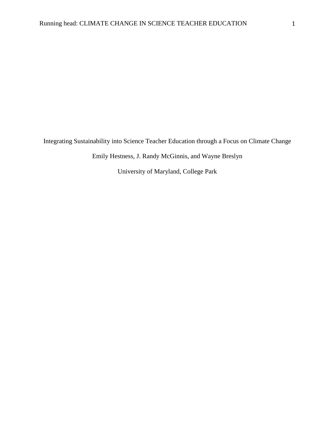Integrating Sustainability into Science Teacher Education through a Focus on Climate Change

Emily Hestness, J. Randy McGinnis, and Wayne Breslyn

University of Maryland, College Park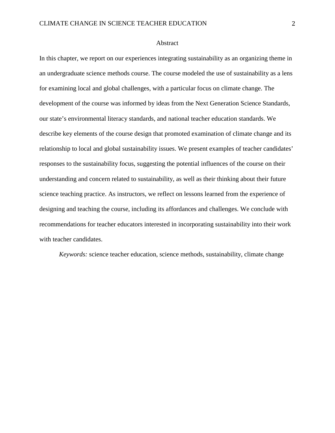#### Abstract

In this chapter, we report on our experiences integrating sustainability as an organizing theme in an undergraduate science methods course. The course modeled the use of sustainability as a lens for examining local and global challenges, with a particular focus on climate change. The development of the course was informed by ideas from the Next Generation Science Standards, our state's environmental literacy standards, and national teacher education standards. We describe key elements of the course design that promoted examination of climate change and its relationship to local and global sustainability issues. We present examples of teacher candidates' responses to the sustainability focus, suggesting the potential influences of the course on their understanding and concern related to sustainability, as well as their thinking about their future science teaching practice. As instructors, we reflect on lessons learned from the experience of designing and teaching the course, including its affordances and challenges. We conclude with recommendations for teacher educators interested in incorporating sustainability into their work with teacher candidates.

*Keywords:* science teacher education, science methods, sustainability, climate change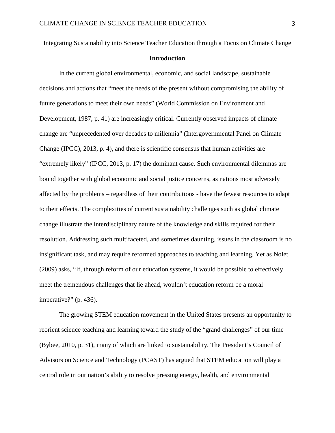Integrating Sustainability into Science Teacher Education through a Focus on Climate Change

# **Introduction**

In the current global environmental, economic, and social landscape, sustainable decisions and actions that "meet the needs of the present without compromising the ability of future generations to meet their own needs" (World Commission on Environment and Development, 1987, p. 41) are increasingly critical. Currently observed impacts of climate change are "unprecedented over decades to millennia" (Intergovernmental Panel on Climate Change (IPCC), 2013, p. 4), and there is scientific consensus that human activities are "extremely likely" (IPCC, 2013, p. 17) the dominant cause. Such environmental dilemmas are bound together with global economic and social justice concerns, as nations most adversely affected by the problems – regardless of their contributions - have the fewest resources to adapt to their effects. The complexities of current sustainability challenges such as global climate change illustrate the interdisciplinary nature of the knowledge and skills required for their resolution. Addressing such multifaceted, and sometimes daunting, issues in the classroom is no insignificant task, and may require reformed approaches to teaching and learning. Yet as Nolet (2009) asks, "If, through reform of our education systems, it would be possible to effectively meet the tremendous challenges that lie ahead, wouldn't education reform be a moral imperative?" (p. 436).

The growing STEM education movement in the United States presents an opportunity to reorient science teaching and learning toward the study of the "grand challenges" of our time (Bybee, 2010, p. 31), many of which are linked to sustainability. The President's Council of Advisors on Science and Technology (PCAST) has argued that STEM education will play a central role in our nation's ability to resolve pressing energy, health, and environmental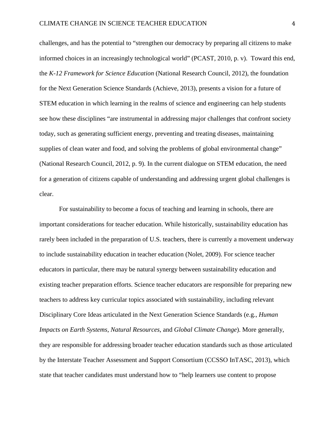challenges, and has the potential to "strengthen our democracy by preparing all citizens to make informed choices in an increasingly technological world" (PCAST, 2010, p. v). Toward this end, the *K-12 Framework for Science Education* (National Research Council, 2012), the foundation for the Next Generation Science Standards (Achieve, 2013), presents a vision for a future of STEM education in which learning in the realms of science and engineering can help students see how these disciplines "are instrumental in addressing major challenges that confront society today, such as generating sufficient energy, preventing and treating diseases, maintaining supplies of clean water and food, and solving the problems of global environmental change" (National Research Council, 2012, p. 9). In the current dialogue on STEM education, the need for a generation of citizens capable of understanding and addressing urgent global challenges is clear.

For sustainability to become a focus of teaching and learning in schools, there are important considerations for teacher education. While historically, sustainability education has rarely been included in the preparation of U.S. teachers, there is currently a movement underway to include sustainability education in teacher education (Nolet, 2009). For science teacher educators in particular, there may be natural synergy between sustainability education and existing teacher preparation efforts. Science teacher educators are responsible for preparing new teachers to address key curricular topics associated with sustainability, including relevant Disciplinary Core Ideas articulated in the Next Generation Science Standards (e.g., *Human Impacts on Earth Systems*, *Natural Resources*, and *Global Climate Change*). More generally, they are responsible for addressing broader teacher education standards such as those articulated by the Interstate Teacher Assessment and Support Consortium (CCSSO InTASC, 2013), which state that teacher candidates must understand how to "help learners use content to propose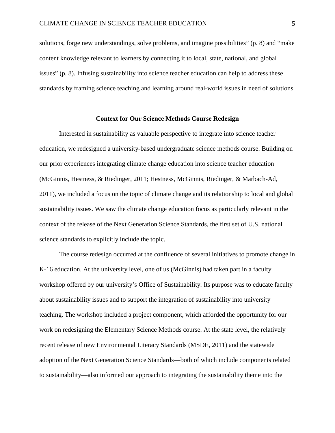solutions, forge new understandings, solve problems, and imagine possibilities" (p. 8) and "make content knowledge relevant to learners by connecting it to local, state, national, and global issues" (p. 8). Infusing sustainability into science teacher education can help to address these standards by framing science teaching and learning around real-world issues in need of solutions.

#### **Context for Our Science Methods Course Redesign**

Interested in sustainability as valuable perspective to integrate into science teacher education, we redesigned a university-based undergraduate science methods course. Building on our prior experiences integrating climate change education into science teacher education (McGinnis, Hestness, & Riedinger, 2011; Hestness, McGinnis, Riedinger, & Marbach-Ad, 2011), we included a focus on the topic of climate change and its relationship to local and global sustainability issues. We saw the climate change education focus as particularly relevant in the context of the release of the Next Generation Science Standards, the first set of U.S. national science standards to explicitly include the topic.

The course redesign occurred at the confluence of several initiatives to promote change in K-16 education. At the university level, one of us (McGinnis) had taken part in a faculty workshop offered by our university's Office of Sustainability. Its purpose was to educate faculty about sustainability issues and to support the integration of sustainability into university teaching. The workshop included a project component, which afforded the opportunity for our work on redesigning the Elementary Science Methods course. At the state level, the relatively recent release of new Environmental Literacy Standards (MSDE, 2011) and the statewide adoption of the Next Generation Science Standards—both of which include components related to sustainability—also informed our approach to integrating the sustainability theme into the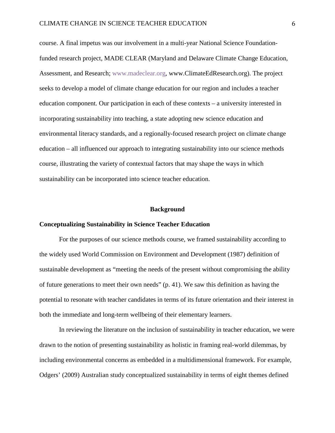course. A final impetus was our involvement in a multi-year National Science Foundationfunded research project, MADE CLEAR (Maryland and Delaware Climate Change Education, Assessment, and Research; [www.madeclear.org,](http://www.madeclear.org/) www.ClimateEdResearch.org). The project seeks to develop a model of climate change education for our region and includes a teacher education component. Our participation in each of these contexts – a university interested in incorporating sustainability into teaching, a state adopting new science education and environmental literacy standards, and a regionally-focused research project on climate change education – all influenced our approach to integrating sustainability into our science methods course, illustrating the variety of contextual factors that may shape the ways in which sustainability can be incorporated into science teacher education.

#### **Background**

### **Conceptualizing Sustainability in Science Teacher Education**

For the purposes of our science methods course, we framed sustainability according to the widely used World Commission on Environment and Development (1987) definition of sustainable development as "meeting the needs of the present without compromising the ability of future generations to meet their own needs" (p. 41). We saw this definition as having the potential to resonate with teacher candidates in terms of its future orientation and their interest in both the immediate and long-term wellbeing of their elementary learners.

In reviewing the literature on the inclusion of sustainability in teacher education, we were drawn to the notion of presenting sustainability as holistic in framing real-world dilemmas, by including environmental concerns as embedded in a multidimensional framework. For example, Odgers' (2009) Australian study conceptualized sustainability in terms of eight themes defined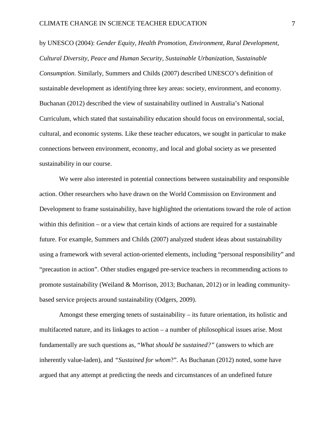by UNESCO (2004): *Gender Equity, Health Promotion, Environment, Rural Development, Cultural Diversity, Peace and Human Security, Sustainable Urbanization, Sustainable Consumption*. Similarly, Summers and Childs (2007) described UNESCO's definition of sustainable development as identifying three key areas: society, environment, and economy. Buchanan (2012) described the view of sustainability outlined in Australia's National Curriculum, which stated that sustainability education should focus on environmental, social, cultural, and economic systems. Like these teacher educators, we sought in particular to make connections between environment, economy, and local and global society as we presented sustainability in our course.

We were also interested in potential connections between sustainability and responsible action. Other researchers who have drawn on the World Commission on Environment and Development to frame sustainability, have highlighted the orientations toward the role of action within this definition – or a view that certain kinds of actions are required for a sustainable future. For example, Summers and Childs (2007) analyzed student ideas about sustainability using a framework with several action-oriented elements, including "personal responsibility" and "precaution in action". Other studies engaged pre-service teachers in recommending actions to promote sustainability (Weiland & Morrison, 2013; Buchanan, 2012) or in leading communitybased service projects around sustainability (Odgers, 2009).

Amongst these emerging tenets of sustainability – its future orientation, its holistic and multifaceted nature, and its linkages to action – a number of philosophical issues arise. Most fundamentally are such questions as, "*What should be sustained?"* (answers to which are inherently value-laden), and *"Sustained for whom*?". As Buchanan (2012) noted, some have argued that any attempt at predicting the needs and circumstances of an undefined future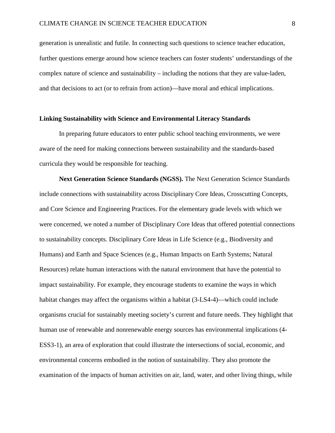generation is unrealistic and futile. In connecting such questions to science teacher education, further questions emerge around how science teachers can foster students' understandings of the complex nature of science and sustainability – including the notions that they are value-laden, and that decisions to act (or to refrain from action)—have moral and ethical implications.

# **Linking Sustainability with Science and Environmental Literacy Standards**

In preparing future educators to enter public school teaching environments, we were aware of the need for making connections between sustainability and the standards-based curricula they would be responsible for teaching.

**Next Generation Science Standards (NGSS).** The Next Generation Science Standards include connections with sustainability across Disciplinary Core Ideas, Crosscutting Concepts, and Core Science and Engineering Practices. For the elementary grade levels with which we were concerned, we noted a number of Disciplinary Core Ideas that offered potential connections to sustainability concepts. Disciplinary Core Ideas in Life Science (e.g., Biodiversity and Humans) and Earth and Space Sciences (e.g., Human Impacts on Earth Systems; Natural Resources) relate human interactions with the natural environment that have the potential to impact sustainability. For example, they encourage students to examine the ways in which habitat changes may affect the organisms within a habitat (3-LS4-4)—which could include organisms crucial for sustainably meeting society's current and future needs. They highlight that human use of renewable and nonrenewable energy sources has environmental implications (4- ESS3-1), an area of exploration that could illustrate the intersections of social, economic, and environmental concerns embodied in the notion of sustainability. They also promote the examination of the impacts of human activities on air, land, water, and other living things, while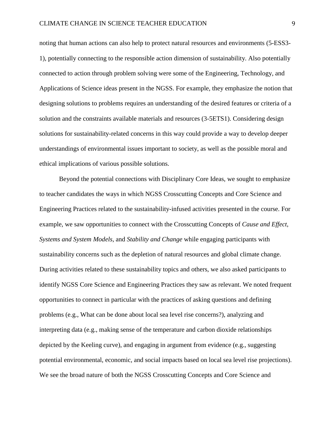noting that human actions can also help to protect natural resources and environments (5-ESS3- 1), potentially connecting to the responsible action dimension of sustainability. Also potentially connected to action through problem solving were some of the Engineering, Technology, and Applications of Science ideas present in the NGSS. For example, they emphasize the notion that designing solutions to problems requires an understanding of the desired features or criteria of a solution and the constraints available materials and resources (3-5ETS1). Considering design solutions for sustainability-related concerns in this way could provide a way to develop deeper understandings of environmental issues important to society, as well as the possible moral and ethical implications of various possible solutions.

Beyond the potential connections with Disciplinary Core Ideas, we sought to emphasize to teacher candidates the ways in which NGSS Crosscutting Concepts and Core Science and Engineering Practices related to the sustainability-infused activities presented in the course. For example, we saw opportunities to connect with the Crosscutting Concepts of *Cause and Effect*, *Systems and System Models*, and *Stability and Change* while engaging participants with sustainability concerns such as the depletion of natural resources and global climate change. During activities related to these sustainability topics and others, we also asked participants to identify NGSS Core Science and Engineering Practices they saw as relevant. We noted frequent opportunities to connect in particular with the practices of asking questions and defining problems (e.g., What can be done about local sea level rise concerns?), analyzing and interpreting data (e.g., making sense of the temperature and carbon dioxide relationships depicted by the Keeling curve), and engaging in argument from evidence (e.g., suggesting potential environmental, economic, and social impacts based on local sea level rise projections). We see the broad nature of both the NGSS Crosscutting Concepts and Core Science and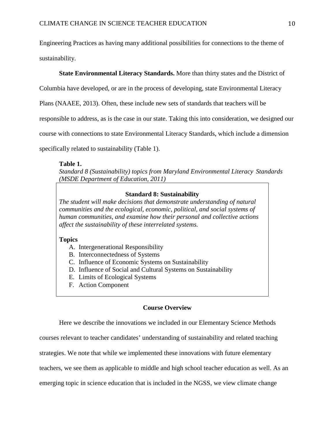Engineering Practices as having many additional possibilities for connections to the theme of

sustainability.

# **State Environmental Literacy Standards.** More than thirty states and the District of

Columbia have developed, or are in the process of developing, state Environmental Literacy

Plans (NAAEE, 2013). Often, these include new sets of standards that teachers will be

responsible to address, as is the case in our state. Taking this into consideration, we designed our

course with connections to state Environmental Literacy Standards, which include a dimension

specifically related to sustainability (Table 1).

### **Table 1.**

*Standard 8 (Sustainability) topics from Maryland Environmental Literacy Standards (MSDE Department of Education, 2011)*

# **Standard 8: Sustainability**

*The student will make decisions that demonstrate understanding of natural communities and the ecological, economic, political, and social systems of human communities, and examine how their personal and collective actions affect the sustainability of these interrelated systems.*

### **Topics**

- A. Intergenerational Responsibility
- B. Interconnectedness of Systems
- C. Influence of Economic Systems on Sustainability
- D. Influence of Social and Cultural Systems on Sustainability
- E. Limits of Ecological Systems
- F. Action Component

### **Course Overview**

Here we describe the innovations we included in our Elementary Science Methods

courses relevant to teacher candidates' understanding of sustainability and related teaching

strategies. We note that while we implemented these innovations with future elementary

teachers, we see them as applicable to middle and high school teacher education as well. As an

emerging topic in science education that is included in the NGSS, we view climate change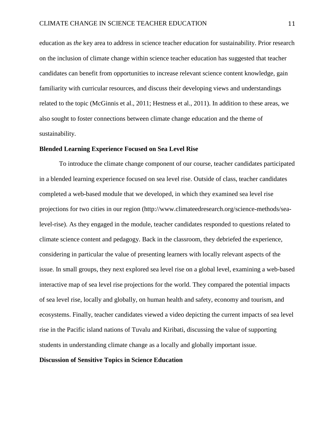education as *the* key area to address in science teacher education for sustainability. Prior research on the inclusion of climate change within science teacher education has suggested that teacher candidates can benefit from opportunities to increase relevant science content knowledge, gain familiarity with curricular resources, and discuss their developing views and understandings related to the topic (McGinnis et al., 2011; Hestness et al., 2011). In addition to these areas, we also sought to foster connections between climate change education and the theme of sustainability.

### **Blended Learning Experience Focused on Sea Level Rise**

To introduce the climate change component of our course, teacher candidates participated in a blended learning experience focused on sea level rise. Outside of class, teacher candidates completed a web-based module that we developed, in which they examined sea level rise projections for two cities in our region (http://www.climateedresearch.org/science-methods/sealevel-rise). As they engaged in the module, teacher candidates responded to questions related to climate science content and pedagogy. Back in the classroom, they debriefed the experience, considering in particular the value of presenting learners with locally relevant aspects of the issue. In small groups, they next explored sea level rise on a global level, examining a web-based interactive map of sea level rise projections for the world. They compared the potential impacts of sea level rise, locally and globally, on human health and safety, economy and tourism, and ecosystems. Finally, teacher candidates viewed a video depicting the current impacts of sea level rise in the Pacific island nations of Tuvalu and Kiribati, discussing the value of supporting students in understanding climate change as a locally and globally important issue.

### **Discussion of Sensitive Topics in Science Education**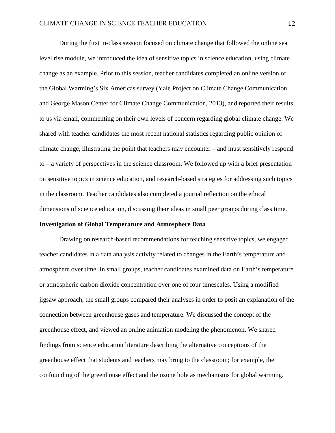During the first in-class session focused on climate change that followed the online sea level rise module, we introduced the idea of sensitive topics in science education, using climate change as an example. Prior to this session, teacher candidates completed an online version of the Global Warming's Six Americas survey (Yale Project on Climate Change Communication and George Mason Center for Climate Change Communication, 2013), and reported their results to us via email, commenting on their own levels of concern regarding global climate change. We shared with teacher candidates the most recent national statistics regarding public opinion of climate change, illustrating the point that teachers may encounter – and must sensitively respond to – a variety of perspectives in the science classroom. We followed up with a brief presentation on sensitive topics in science education, and research-based strategies for addressing such topics in the classroom. Teacher candidates also completed a journal reflection on the ethical dimensions of science education, discussing their ideas in small peer groups during class time.

### **Investigation of Global Temperature and Atmosphere Data**

Drawing on research-based recommendations for teaching sensitive topics, we engaged teacher candidates in a data analysis activity related to changes in the Earth's temperature and atmosphere over time. In small groups, teacher candidates examined data on Earth's temperature or atmospheric carbon dioxide concentration over one of four timescales. Using a modified jigsaw approach, the small groups compared their analyses in order to posit an explanation of the connection between greenhouse gases and temperature. We discussed the concept of the greenhouse effect, and viewed an online animation modeling the phenomenon. We shared findings from science education literature describing the alternative conceptions of the greenhouse effect that students and teachers may bring to the classroom; for example, the confounding of the greenhouse effect and the ozone hole as mechanisms for global warming.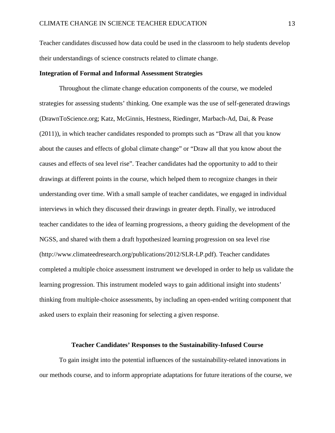Teacher candidates discussed how data could be used in the classroom to help students develop their understandings of science constructs related to climate change.

#### **Integration of Formal and Informal Assessment Strategies**

Throughout the climate change education components of the course, we modeled strategies for assessing students' thinking. One example was the use of self-generated drawings (DrawnToScience.org; Katz, McGinnis, Hestness, Riedinger, Marbach-Ad, Dai, & Pease (2011)), in which teacher candidates responded to prompts such as "Draw all that you know about the causes and effects of global climate change" or "Draw all that you know about the causes and effects of sea level rise". Teacher candidates had the opportunity to add to their drawings at different points in the course, which helped them to recognize changes in their understanding over time. With a small sample of teacher candidates, we engaged in individual interviews in which they discussed their drawings in greater depth. Finally, we introduced teacher candidates to the idea of learning progressions, a theory guiding the development of the NGSS, and shared with them a draft hypothesized learning progression on sea level rise (http://www.climateedresearch.org/publications/2012/SLR-LP.pdf). Teacher candidates completed a multiple choice assessment instrument we developed in order to help us validate the learning progression. This instrument modeled ways to gain additional insight into students' thinking from multiple-choice assessments, by including an open-ended writing component that asked users to explain their reasoning for selecting a given response.

### **Teacher Candidates' Responses to the Sustainability-Infused Course**

To gain insight into the potential influences of the sustainability-related innovations in our methods course, and to inform appropriate adaptations for future iterations of the course, we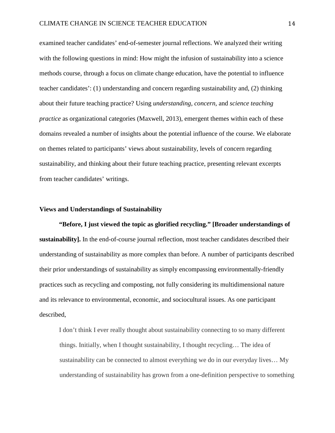examined teacher candidates' end-of-semester journal reflections. We analyzed their writing with the following questions in mind: How might the infusion of sustainability into a science methods course, through a focus on climate change education, have the potential to influence teacher candidates': (1) understanding and concern regarding sustainability and, (2) thinking about their future teaching practice? Using *understanding*, *concern*, and *science teaching practice* as organizational categories (Maxwell, 2013), emergent themes within each of these domains revealed a number of insights about the potential influence of the course. We elaborate on themes related to participants' views about sustainability, levels of concern regarding sustainability, and thinking about their future teaching practice, presenting relevant excerpts from teacher candidates' writings.

#### **Views and Understandings of Sustainability**

**"Before, I just viewed the topic as glorified recycling." [Broader understandings of sustainability].** In the end-of-course journal reflection, most teacher candidates described their understanding of sustainability as more complex than before. A number of participants described their prior understandings of sustainability as simply encompassing environmentally-friendly practices such as recycling and composting, not fully considering its multidimensional nature and its relevance to environmental, economic, and sociocultural issues. As one participant described,

I don't think I ever really thought about sustainability connecting to so many different things. Initially, when I thought sustainability, I thought recycling… The idea of sustainability can be connected to almost everything we do in our everyday lives… My understanding of sustainability has grown from a one-definition perspective to something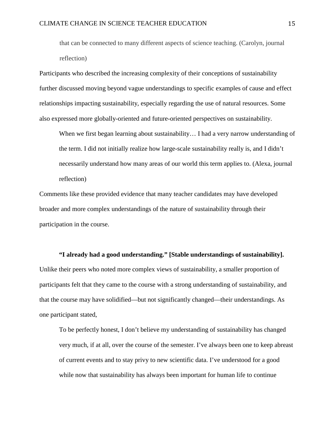that can be connected to many different aspects of science teaching. (Carolyn, journal reflection)

Participants who described the increasing complexity of their conceptions of sustainability further discussed moving beyond vague understandings to specific examples of cause and effect relationships impacting sustainability, especially regarding the use of natural resources. Some also expressed more globally-oriented and future-oriented perspectives on sustainability.

When we first began learning about sustainability... I had a very narrow understanding of the term. I did not initially realize how large-scale sustainability really is, and I didn't necessarily understand how many areas of our world this term applies to. (Alexa, journal reflection)

Comments like these provided evidence that many teacher candidates may have developed broader and more complex understandings of the nature of sustainability through their participation in the course.

#### **"I already had a good understanding." [Stable understandings of sustainability].**

Unlike their peers who noted more complex views of sustainability, a smaller proportion of participants felt that they came to the course with a strong understanding of sustainability, and that the course may have solidified—but not significantly changed—their understandings. As one participant stated,

To be perfectly honest, I don't believe my understanding of sustainability has changed very much, if at all, over the course of the semester. I've always been one to keep abreast of current events and to stay privy to new scientific data. I've understood for a good while now that sustainability has always been important for human life to continue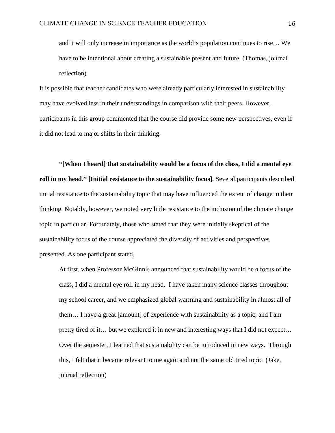and it will only increase in importance as the world's population continues to rise… We have to be intentional about creating a sustainable present and future. (Thomas, journal reflection)

It is possible that teacher candidates who were already particularly interested in sustainability may have evolved less in their understandings in comparison with their peers. However, participants in this group commented that the course did provide some new perspectives, even if it did not lead to major shifts in their thinking.

**"[When I heard] that sustainability would be a focus of the class, I did a mental eye roll in my head." [Initial resistance to the sustainability focus].** Several participants described initial resistance to the sustainability topic that may have influenced the extent of change in their thinking. Notably, however, we noted very little resistance to the inclusion of the climate change topic in particular. Fortunately, those who stated that they were initially skeptical of the sustainability focus of the course appreciated the diversity of activities and perspectives presented. As one participant stated,

At first, when Professor McGinnis announced that sustainability would be a focus of the class, I did a mental eye roll in my head. I have taken many science classes throughout my school career, and we emphasized global warming and sustainability in almost all of them… I have a great [amount] of experience with sustainability as a topic, and I am pretty tired of it… but we explored it in new and interesting ways that I did not expect… Over the semester, I learned that sustainability can be introduced in new ways. Through this, I felt that it became relevant to me again and not the same old tired topic. (Jake, journal reflection)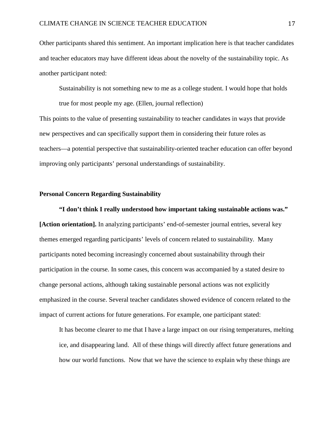Other participants shared this sentiment. An important implication here is that teacher candidates and teacher educators may have different ideas about the novelty of the sustainability topic. As another participant noted:

Sustainability is not something new to me as a college student. I would hope that holds true for most people my age. (Ellen, journal reflection)

This points to the value of presenting sustainability to teacher candidates in ways that provide new perspectives and can specifically support them in considering their future roles as teachers—a potential perspective that sustainability-oriented teacher education can offer beyond improving only participants' personal understandings of sustainability.

### **Personal Concern Regarding Sustainability**

**"I don't think I really understood how important taking sustainable actions was." [Action orientation].** In analyzing participants' end-of-semester journal entries, several key themes emerged regarding participants' levels of concern related to sustainability. Many participants noted becoming increasingly concerned about sustainability through their participation in the course. In some cases, this concern was accompanied by a stated desire to change personal actions, although taking sustainable personal actions was not explicitly

emphasized in the course. Several teacher candidates showed evidence of concern related to the impact of current actions for future generations. For example, one participant stated:

It has become clearer to me that I have a large impact on our rising temperatures, melting ice, and disappearing land. All of these things will directly affect future generations and how our world functions. Now that we have the science to explain why these things are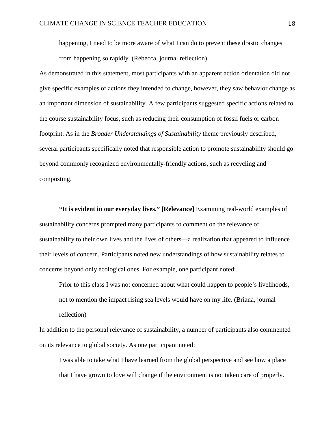happening, I need to be more aware of what I can do to prevent these drastic changes from happening so rapidly. (Rebecca, journal reflection)

As demonstrated in this statement, most participants with an apparent action orientation did not give specific examples of actions they intended to change, however, they saw behavior change as an important dimension of sustainability. A few participants suggested specific actions related to the course sustainability focus, such as reducing their consumption of fossil fuels or carbon footprint. As in the *Broader Understandings of Sustainability* theme previously described, several participants specifically noted that responsible action to promote sustainability should go beyond commonly recognized environmentally-friendly actions, such as recycling and composting.

**"It is evident in our everyday lives." [Relevance]** Examining real-world examples of sustainability concerns prompted many participants to comment on the relevance of sustainability to their own lives and the lives of others—a realization that appeared to influence their levels of concern. Participants noted new understandings of how sustainability relates to concerns beyond only ecological ones. For example, one participant noted:

Prior to this class I was not concerned about what could happen to people's livelihoods, not to mention the impact rising sea levels would have on my life. (Briana, journal reflection)

In addition to the personal relevance of sustainability, a number of participants also commented on its relevance to global society. As one participant noted:

I was able to take what I have learned from the global perspective and see how a place that I have grown to love will change if the environment is not taken care of properly.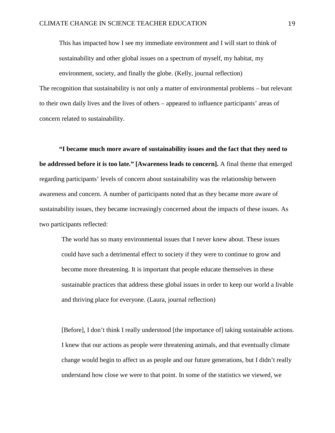This has impacted how I see my immediate environment and I will start to think of sustainability and other global issues on a spectrum of myself, my habitat, my environment, society, and finally the globe. (Kelly, journal reflection) The recognition that sustainability is not only a matter of environmental problems – but relevant

to their own daily lives and the lives of others – appeared to influence participants' areas of concern related to sustainability.

**"I became much more aware of sustainability issues and the fact that they need to be addressed before it is too late." [Awareness leads to concern].** A final theme that emerged regarding participants' levels of concern about sustainability was the relationship between awareness and concern. A number of participants noted that as they became more aware of sustainability issues, they became increasingly concerned about the impacts of these issues. As two participants reflected:

The world has so many environmental issues that I never knew about. These issues could have such a detrimental effect to society if they were to continue to grow and become more threatening. It is important that people educate themselves in these sustainable practices that address these global issues in order to keep our world a livable and thriving place for everyone. (Laura, journal reflection)

[Before], I don't think I really understood [the importance of] taking sustainable actions. I knew that our actions as people were threatening animals, and that eventually climate change would begin to affect us as people and our future generations, but I didn't really understand how close we were to that point. In some of the statistics we viewed, we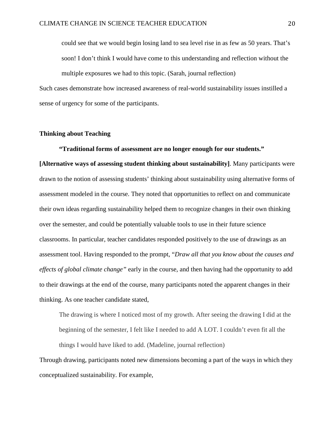could see that we would begin losing land to sea level rise in as few as 50 years. That's soon! I don't think I would have come to this understanding and reflection without the multiple exposures we had to this topic. (Sarah, journal reflection) Such cases demonstrate how increased awareness of real-world sustainability issues instilled a

sense of urgency for some of the participants.

# **Thinking about Teaching**

### **"Traditional forms of assessment are no longer enough for our students."**

**[Alternative ways of assessing student thinking about sustainability]**. Many participants were drawn to the notion of assessing students' thinking about sustainability using alternative forms of assessment modeled in the course. They noted that opportunities to reflect on and communicate their own ideas regarding sustainability helped them to recognize changes in their own thinking over the semester, and could be potentially valuable tools to use in their future science classrooms. In particular, teacher candidates responded positively to the use of drawings as an assessment tool. Having responded to the prompt, "*Draw all that you know about the causes and effects of global climate change"* early in the course, and then having had the opportunity to add to their drawings at the end of the course, many participants noted the apparent changes in their thinking. As one teacher candidate stated,

The drawing is where I noticed most of my growth. After seeing the drawing I did at the beginning of the semester, I felt like I needed to add A LOT. I couldn't even fit all the things I would have liked to add. (Madeline, journal reflection)

Through drawing, participants noted new dimensions becoming a part of the ways in which they conceptualized sustainability. For example,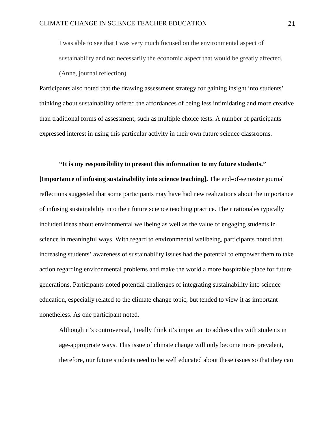I was able to see that I was very much focused on the environmental aspect of sustainability and not necessarily the economic aspect that would be greatly affected. (Anne, journal reflection)

Participants also noted that the drawing assessment strategy for gaining insight into students' thinking about sustainability offered the affordances of being less intimidating and more creative than traditional forms of assessment, such as multiple choice tests. A number of participants expressed interest in using this particular activity in their own future science classrooms.

### **"It is my responsibility to present this information to my future students."**

**[Importance of infusing sustainability into science teaching].** The end-of-semester journal reflections suggested that some participants may have had new realizations about the importance of infusing sustainability into their future science teaching practice. Their rationales typically included ideas about environmental wellbeing as well as the value of engaging students in science in meaningful ways. With regard to environmental wellbeing, participants noted that increasing students' awareness of sustainability issues had the potential to empower them to take action regarding environmental problems and make the world a more hospitable place for future generations. Participants noted potential challenges of integrating sustainability into science education, especially related to the climate change topic, but tended to view it as important nonetheless. As one participant noted,

Although it's controversial, I really think it's important to address this with students in age-appropriate ways. This issue of climate change will only become more prevalent, therefore, our future students need to be well educated about these issues so that they can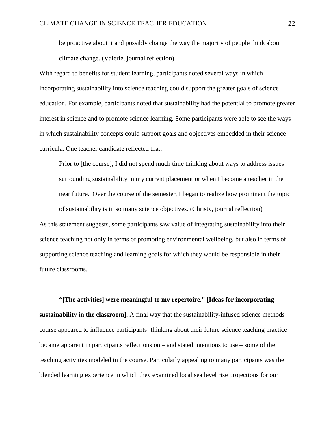be proactive about it and possibly change the way the majority of people think about climate change. (Valerie, journal reflection)

With regard to benefits for student learning, participants noted several ways in which incorporating sustainability into science teaching could support the greater goals of science education. For example, participants noted that sustainability had the potential to promote greater interest in science and to promote science learning. Some participants were able to see the ways in which sustainability concepts could support goals and objectives embedded in their science curricula. One teacher candidate reflected that:

Prior to [the course], I did not spend much time thinking about ways to address issues surrounding sustainability in my current placement or when I become a teacher in the near future. Over the course of the semester, I began to realize how prominent the topic of sustainability is in so many science objectives. (Christy, journal reflection)

As this statement suggests, some participants saw value of integrating sustainability into their science teaching not only in terms of promoting environmental wellbeing, but also in terms of supporting science teaching and learning goals for which they would be responsible in their future classrooms.

**"[The activities] were meaningful to my repertoire." [Ideas for incorporating sustainability in the classroom]**. A final way that the sustainability-infused science methods course appeared to influence participants' thinking about their future science teaching practice became apparent in participants reflections on – and stated intentions to use – some of the teaching activities modeled in the course. Particularly appealing to many participants was the blended learning experience in which they examined local sea level rise projections for our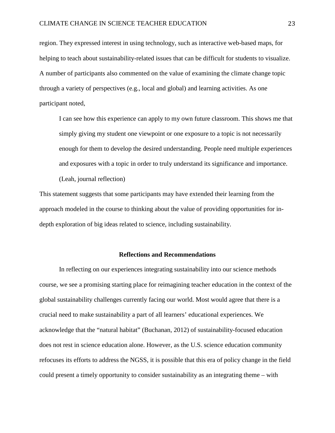region. They expressed interest in using technology, such as interactive web-based maps, for helping to teach about sustainability-related issues that can be difficult for students to visualize. A number of participants also commented on the value of examining the climate change topic through a variety of perspectives (e.g., local and global) and learning activities. As one participant noted,

I can see how this experience can apply to my own future classroom. This shows me that simply giving my student one viewpoint or one exposure to a topic is not necessarily enough for them to develop the desired understanding. People need multiple experiences and exposures with a topic in order to truly understand its significance and importance. (Leah, journal reflection)

This statement suggests that some participants may have extended their learning from the approach modeled in the course to thinking about the value of providing opportunities for indepth exploration of big ideas related to science, including sustainability.

#### **Reflections and Recommendations**

In reflecting on our experiences integrating sustainability into our science methods course, we see a promising starting place for reimagining teacher education in the context of the global sustainability challenges currently facing our world. Most would agree that there is a crucial need to make sustainability a part of all learners' educational experiences. We acknowledge that the "natural habitat" (Buchanan, 2012) of sustainability-focused education does not rest in science education alone. However, as the U.S. science education community refocuses its efforts to address the NGSS, it is possible that this era of policy change in the field could present a timely opportunity to consider sustainability as an integrating theme – with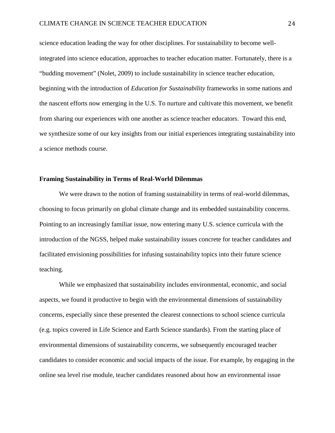science education leading the way for other disciplines. For sustainability to become wellintegrated into science education, approaches to teacher education matter. Fortunately, there is a "budding movement" (Nolet, 2009) to include sustainability in science teacher education, beginning with the introduction of *Education for Sustainability* frameworks in some nations and the nascent efforts now emerging in the U.S. To nurture and cultivate this movement, we benefit from sharing our experiences with one another as science teacher educators. Toward this end, we synthesize some of our key insights from our initial experiences integrating sustainability into a science methods course.

### **Framing Sustainability in Terms of Real-World Dilemmas**

We were drawn to the notion of framing sustainability in terms of real-world dilemmas, choosing to focus primarily on global climate change and its embedded sustainability concerns. Pointing to an increasingly familiar issue, now entering many U.S. science curricula with the introduction of the NGSS, helped make sustainability issues concrete for teacher candidates and facilitated envisioning possibilities for infusing sustainability topics into their future science teaching.

While we emphasized that sustainability includes environmental, economic, and social aspects, we found it productive to begin with the environmental dimensions of sustainability concerns, especially since these presented the clearest connections to school science curricula (e.g. topics covered in Life Science and Earth Science standards). From the starting place of environmental dimensions of sustainability concerns, we subsequently encouraged teacher candidates to consider economic and social impacts of the issue. For example, by engaging in the online sea level rise module, teacher candidates reasoned about how an environmental issue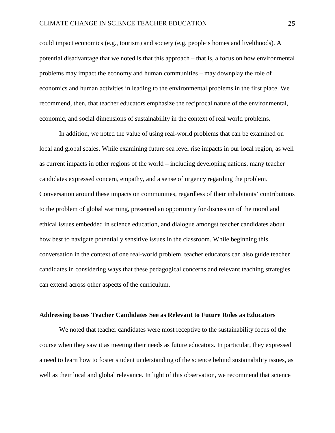could impact economics (e.g., tourism) and society (e.g. people's homes and livelihoods). A potential disadvantage that we noted is that this approach – that is, a focus on how environmental problems may impact the economy and human communities – may downplay the role of economics and human activities in leading to the environmental problems in the first place. We recommend, then, that teacher educators emphasize the reciprocal nature of the environmental, economic, and social dimensions of sustainability in the context of real world problems.

In addition, we noted the value of using real-world problems that can be examined on local and global scales. While examining future sea level rise impacts in our local region, as well as current impacts in other regions of the world – including developing nations, many teacher candidates expressed concern, empathy, and a sense of urgency regarding the problem. Conversation around these impacts on communities, regardless of their inhabitants' contributions to the problem of global warming, presented an opportunity for discussion of the moral and ethical issues embedded in science education, and dialogue amongst teacher candidates about how best to navigate potentially sensitive issues in the classroom. While beginning this conversation in the context of one real-world problem, teacher educators can also guide teacher candidates in considering ways that these pedagogical concerns and relevant teaching strategies can extend across other aspects of the curriculum.

### **Addressing Issues Teacher Candidates See as Relevant to Future Roles as Educators**

We noted that teacher candidates were most receptive to the sustainability focus of the course when they saw it as meeting their needs as future educators. In particular, they expressed a need to learn how to foster student understanding of the science behind sustainability issues, as well as their local and global relevance. In light of this observation, we recommend that science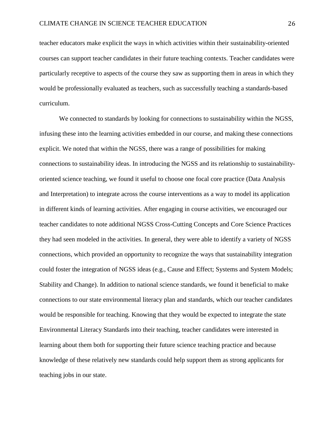teacher educators make explicit the ways in which activities within their sustainability-oriented courses can support teacher candidates in their future teaching contexts. Teacher candidates were particularly receptive to aspects of the course they saw as supporting them in areas in which they would be professionally evaluated as teachers, such as successfully teaching a standards-based curriculum.

We connected to standards by looking for connections to sustainability within the NGSS, infusing these into the learning activities embedded in our course, and making these connections explicit. We noted that within the NGSS, there was a range of possibilities for making connections to sustainability ideas. In introducing the NGSS and its relationship to sustainabilityoriented science teaching, we found it useful to choose one focal core practice (Data Analysis and Interpretation) to integrate across the course interventions as a way to model its application in different kinds of learning activities. After engaging in course activities, we encouraged our teacher candidates to note additional NGSS Cross-Cutting Concepts and Core Science Practices they had seen modeled in the activities. In general, they were able to identify a variety of NGSS connections, which provided an opportunity to recognize the ways that sustainability integration could foster the integration of NGSS ideas (e.g., Cause and Effect; Systems and System Models; Stability and Change). In addition to national science standards, we found it beneficial to make connections to our state environmental literacy plan and standards, which our teacher candidates would be responsible for teaching. Knowing that they would be expected to integrate the state Environmental Literacy Standards into their teaching, teacher candidates were interested in learning about them both for supporting their future science teaching practice and because knowledge of these relatively new standards could help support them as strong applicants for teaching jobs in our state.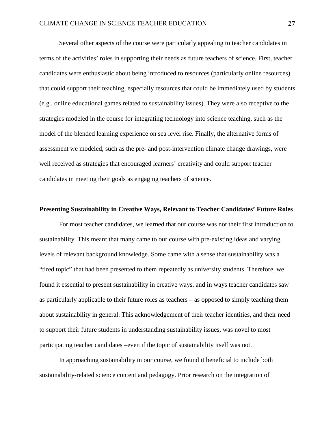Several other aspects of the course were particularly appealing to teacher candidates in terms of the activities' roles in supporting their needs as future teachers of science. First, teacher candidates were enthusiastic about being introduced to resources (particularly online resources) that could support their teaching, especially resources that could be immediately used by students (e.g., online educational games related to sustainability issues). They were also receptive to the strategies modeled in the course for integrating technology into science teaching, such as the model of the blended learning experience on sea level rise. Finally, the alternative forms of assessment we modeled, such as the pre- and post-intervention climate change drawings, were well received as strategies that encouraged learners' creativity and could support teacher candidates in meeting their goals as engaging teachers of science.

### **Presenting Sustainability in Creative Ways, Relevant to Teacher Candidates' Future Roles**

For most teacher candidates, we learned that our course was not their first introduction to sustainability. This meant that many came to our course with pre-existing ideas and varying levels of relevant background knowledge. Some came with a sense that sustainability was a "tired topic" that had been presented to them repeatedly as university students. Therefore, we found it essential to present sustainability in creative ways, and in ways teacher candidates saw as particularly applicable to their future roles as teachers – as opposed to simply teaching them about sustainability in general. This acknowledgement of their teacher identities, and their need to support their future students in understanding sustainability issues, was novel to most participating teacher candidates –even if the topic of sustainability itself was not.

In approaching sustainability in our course, we found it beneficial to include both sustainability-related science content and pedagogy. Prior research on the integration of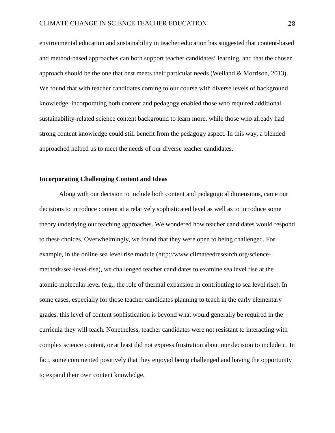environmental education and sustainability in teacher education has suggested that content-based and method-based approaches can both support teacher candidates' learning, and that the chosen approach should be the one that best meets their particular needs (Weiland & Morrison, 2013). We found that with teacher candidates coming to our course with diverse levels of background knowledge, incorporating both content and pedagogy enabled those who required additional sustainability-related science content background to learn more, while those who already had strong content knowledge could still benefit from the pedagogy aspect. In this way, a blended approached helped us to meet the needs of our diverse teacher candidates.

# **Incorporating Challenging Content and Ideas**

Along with our decision to include both content and pedagogical dimensions, came our decisions to introduce content at a relatively sophisticated level as well as to introduce some theory underlying our teaching approaches. We wondered how teacher candidates would respond to these choices. Overwhelmingly, we found that they were open to being challenged. For example, in the online sea level rise module (http://www.climateedresearch.org/sciencemethods/sea-level-rise), we challenged teacher candidates to examine sea level rise at the atomic-molecular level (e.g., the role of thermal expansion in contributing to sea level rise). In some cases, especially for those teacher candidates planning to teach in the early elementary grades, this level of content sophistication is beyond what would generally be required in the curricula they will teach. Nonetheless, teacher candidates were not resistant to interacting with complex science content, or at least did not express frustration about our decision to include it. In fact, some commented positively that they enjoyed being challenged and having the opportunity to expand their own content knowledge.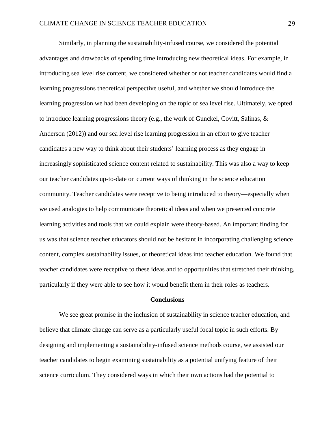Similarly, in planning the sustainability-infused course, we considered the potential advantages and drawbacks of spending time introducing new theoretical ideas. For example, in introducing sea level rise content, we considered whether or not teacher candidates would find a learning progressions theoretical perspective useful, and whether we should introduce the learning progression we had been developing on the topic of sea level rise. Ultimately, we opted to introduce learning progressions theory (e.g., the work of Gunckel, Covitt, Salinas, & Anderson (2012)) and our sea level rise learning progression in an effort to give teacher candidates a new way to think about their students' learning process as they engage in increasingly sophisticated science content related to sustainability. This was also a way to keep our teacher candidates up-to-date on current ways of thinking in the science education community. Teacher candidates were receptive to being introduced to theory—especially when we used analogies to help communicate theoretical ideas and when we presented concrete learning activities and tools that we could explain were theory-based. An important finding for us was that science teacher educators should not be hesitant in incorporating challenging science content, complex sustainability issues, or theoretical ideas into teacher education. We found that teacher candidates were receptive to these ideas and to opportunities that stretched their thinking, particularly if they were able to see how it would benefit them in their roles as teachers.

### **Conclusions**

We see great promise in the inclusion of sustainability in science teacher education, and believe that climate change can serve as a particularly useful focal topic in such efforts. By designing and implementing a sustainability-infused science methods course, we assisted our teacher candidates to begin examining sustainability as a potential unifying feature of their science curriculum. They considered ways in which their own actions had the potential to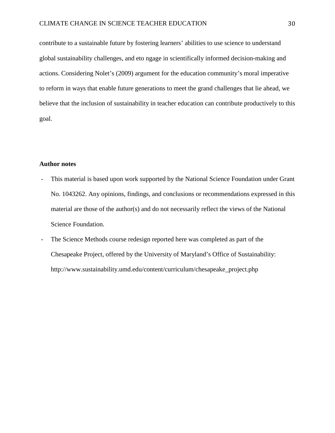contribute to a sustainable future by fostering learners' abilities to use science to understand global sustainability challenges, and eto ngage in scientifically informed decision-making and actions. Considering Nolet's (2009) argument for the education community's moral imperative to reform in ways that enable future generations to meet the grand challenges that lie ahead, we believe that the inclusion of sustainability in teacher education can contribute productively to this goal.

# **Author notes**

- This material is based upon work supported by the National Science Foundation under Grant No. 1043262. Any opinions, findings, and conclusions or recommendations expressed in this material are those of the author(s) and do not necessarily reflect the views of the National Science Foundation.
- The Science Methods course redesign reported here was completed as part of the Chesapeake Project, offered by the University of Maryland's Office of Sustainability: http://www.sustainability.umd.edu/content/curriculum/chesapeake\_project.php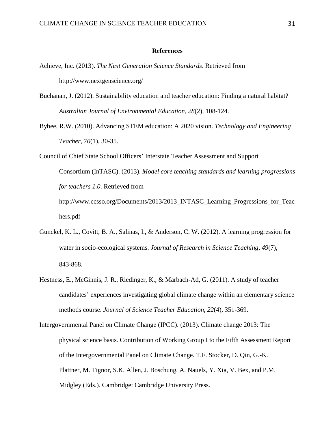#### **References**

- Achieve, Inc. (2013). *The Next Generation Science Standards*. Retrieved from http://www.nextgenscience.org/
- Buchanan, J. (2012). Sustainability education and teacher education: Finding a natural habitat? *Australian Journal of Environmental Education*, *28*(2), 108-124.
- Bybee, R.W. (2010). Advancing STEM education: A 2020 vision. *Technology and Engineering Teacher, 70*(1), 30-35.
- Council of Chief State School Officers' Interstate Teacher Assessment and Support Consortium (InTASC). (2013). *Model core teaching standards and learning progressions for teachers 1.0*. Retrieved from http://www.ccsso.org/Documents/2013/2013\_INTASC\_Learning\_Progressions\_for\_Teac hers.pdf
- Gunckel, K. L., Covitt, B. A., Salinas, I., & Anderson, C. W. (2012). A learning progression for water in socio‐ecological systems. *Journal of Research in Science Teaching*, *49*(7), 843-868.
- Hestness, E., McGinnis, J. R., Riedinger, K., & Marbach-Ad, G. (2011). A study of teacher candidates' experiences investigating global climate change within an elementary science methods course. *Journal of Science Teacher Education*, *22*(4), 351-369.
- Intergovernmental Panel on Climate Change (IPCC). (2013). Climate change 2013: The physical science basis. Contribution of Working Group I to the Fifth Assessment Report of the Intergovernmental Panel on Climate Change. T.F. Stocker, D. Qin, G.-K. Plattner, M. Tignor, S.K. Allen, J. Boschung, A. Nauels, Y. Xia, V. Bex, and P.M. Midgley (Eds.). Cambridge: Cambridge University Press.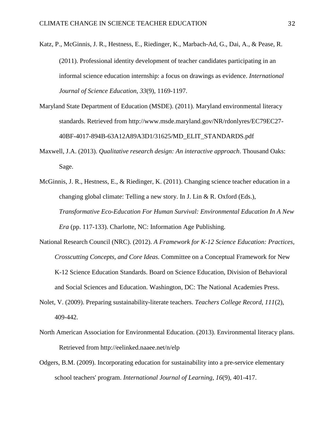- Katz, P., McGinnis, J. R., Hestness, E., Riedinger, K., Marbach‐Ad, G., Dai, A., & Pease, R. (2011). Professional identity development of teacher candidates participating in an informal science education internship: a focus on drawings as evidence. *International Journal of Science Education*, *33*(9), 1169-1197.
- Maryland State Department of Education (MSDE). (2011). Maryland environmental literacy standards. Retrieved from http://www.msde.maryland.gov/NR/rdonlyres/EC79EC27- 40BF-4017-894B-63A12A89A3D1/31625/MD\_ELIT\_STANDARDS.pdf
- Maxwell, J.A. (2013). *Qualitative research design: An interactive approach*. Thousand Oaks: Sage.
- McGinnis, J. R., Hestness, E., & Riedinger, K. (2011). Changing science teacher education in a changing global climate: Telling a new story. In J. Lin & R. Oxford (Eds.), *Transformative Eco-Education For Human Survival: Environmental Education In A New Era* (pp. 117-133). Charlotte, NC: Information Age Publishing.
- National Research Council (NRC). (2012). *A Framework for K-12 Science Education: Practices, Crosscutting Concepts, and Core Ideas.* Committee on a Conceptual Framework for New K-12 Science Education Standards. Board on Science Education, Division of Behavioral and Social Sciences and Education. Washington, DC: The National Academies Press.
- Nolet, V. (2009). Preparing sustainability-literate teachers. *Teachers College Record*, *111*(2), 409-442.
- North American Association for Environmental Education. (2013). Environmental literacy plans. Retrieved from http://eelinked.naaee.net/n/elp
- Odgers, B.M. (2009). Incorporating education for sustainability into a pre-service elementary school teachers' program. *International Journal of Learning*, *16*(9), 401-417.